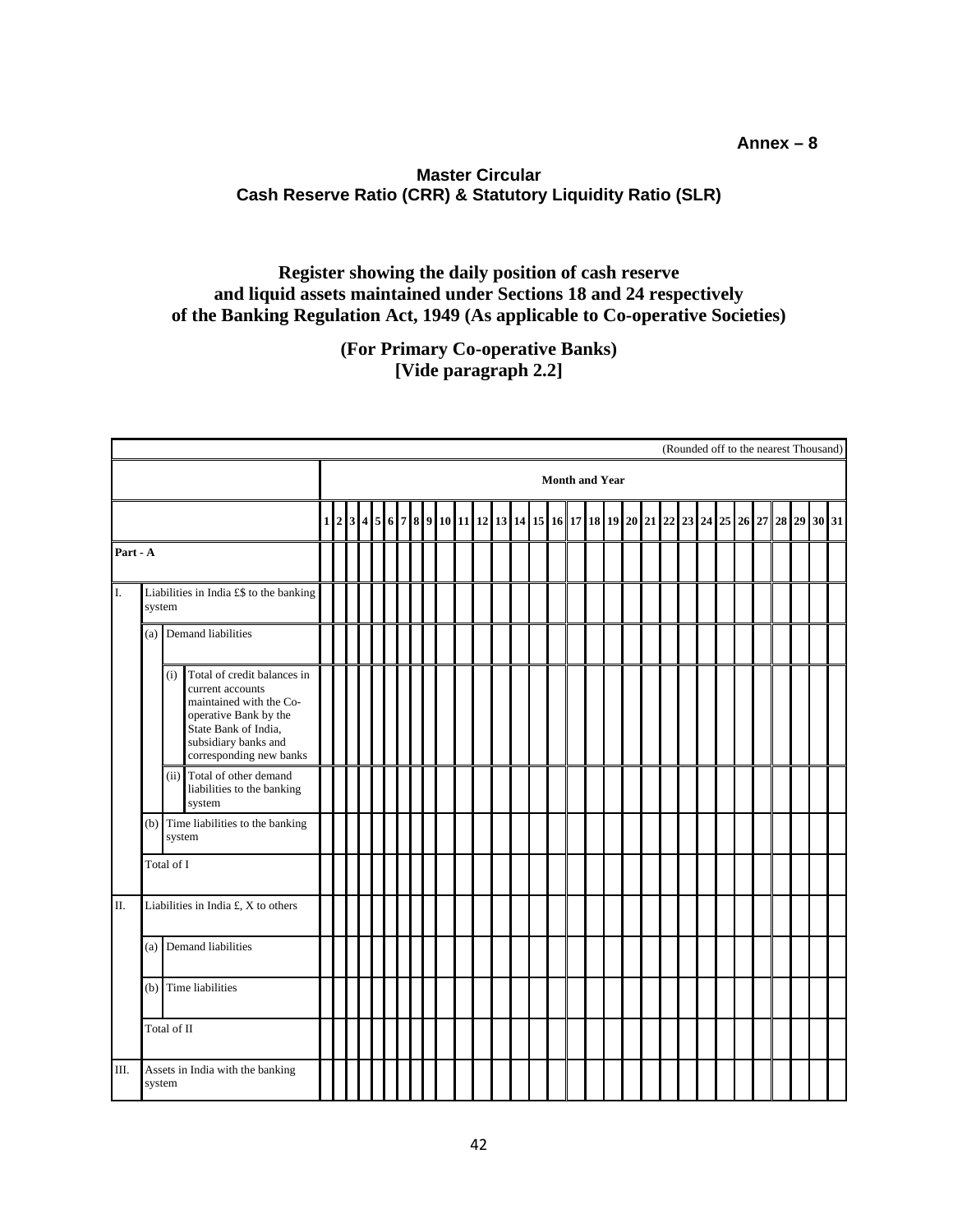## **Annex – 8**

## **Master Circular Cash Reserve Ratio (CRR) & Statutory Liquidity Ratio (SLR)**

## **Register showing the daily position of cash reserve and liquid assets maintained under Sections 18 and 24 respectively of the Banking Regulation Act, 1949 (As applicable to Co-operative Societies)**

**(For Primary Co-operative Banks) [Vide paragraph 2.2]**

| (Rounded off to the nearest Thousand)            |                                                   |                        |                                                                                                                                                                                |                                                                                                   |  |  |  |  |  |  |  |  |  |  |  |  |  |  |  |  |  |  |  |  |  |             |  |
|--------------------------------------------------|---------------------------------------------------|------------------------|--------------------------------------------------------------------------------------------------------------------------------------------------------------------------------|---------------------------------------------------------------------------------------------------|--|--|--|--|--|--|--|--|--|--|--|--|--|--|--|--|--|--|--|--|--|-------------|--|
|                                                  |                                                   |                        |                                                                                                                                                                                | <b>Month and Year</b><br>$2 3 4 5 6 7 8 9 10 11 12 13 14 15 16 17 18 19 20 21 22 23 24 25 26 27 $ |  |  |  |  |  |  |  |  |  |  |  |  |  |  |  |  |  |  |  |  |  |             |  |
|                                                  |                                                   |                        |                                                                                                                                                                                | $\mathbf 1$                                                                                       |  |  |  |  |  |  |  |  |  |  |  |  |  |  |  |  |  |  |  |  |  | 28 29 30 31 |  |
|                                                  | Part - A                                          |                        |                                                                                                                                                                                |                                                                                                   |  |  |  |  |  |  |  |  |  |  |  |  |  |  |  |  |  |  |  |  |  |             |  |
| I.                                               | Liabilities in India £\$ to the banking<br>system |                        |                                                                                                                                                                                |                                                                                                   |  |  |  |  |  |  |  |  |  |  |  |  |  |  |  |  |  |  |  |  |  |             |  |
|                                                  |                                                   | (a) Demand liabilities |                                                                                                                                                                                |                                                                                                   |  |  |  |  |  |  |  |  |  |  |  |  |  |  |  |  |  |  |  |  |  |             |  |
|                                                  |                                                   | (i)                    | Total of credit balances in<br>current accounts<br>maintained with the Co-<br>operative Bank by the<br>State Bank of India,<br>subsidiary banks and<br>corresponding new banks |                                                                                                   |  |  |  |  |  |  |  |  |  |  |  |  |  |  |  |  |  |  |  |  |  |             |  |
|                                                  |                                                   |                        | (ii) Total of other demand<br>liabilities to the banking<br>system                                                                                                             |                                                                                                   |  |  |  |  |  |  |  |  |  |  |  |  |  |  |  |  |  |  |  |  |  |             |  |
|                                                  |                                                   |                        | (b) Time liabilities to the banking<br>system                                                                                                                                  |                                                                                                   |  |  |  |  |  |  |  |  |  |  |  |  |  |  |  |  |  |  |  |  |  |             |  |
|                                                  | Total of I                                        |                        |                                                                                                                                                                                |                                                                                                   |  |  |  |  |  |  |  |  |  |  |  |  |  |  |  |  |  |  |  |  |  |             |  |
| II.                                              | Liabilities in India £, X to others               |                        |                                                                                                                                                                                |                                                                                                   |  |  |  |  |  |  |  |  |  |  |  |  |  |  |  |  |  |  |  |  |  |             |  |
|                                                  |                                                   |                        | (a) Demand liabilities                                                                                                                                                         |                                                                                                   |  |  |  |  |  |  |  |  |  |  |  |  |  |  |  |  |  |  |  |  |  |             |  |
|                                                  |                                                   |                        | (b) Time liabilities                                                                                                                                                           |                                                                                                   |  |  |  |  |  |  |  |  |  |  |  |  |  |  |  |  |  |  |  |  |  |             |  |
|                                                  | Total of II                                       |                        |                                                                                                                                                                                |                                                                                                   |  |  |  |  |  |  |  |  |  |  |  |  |  |  |  |  |  |  |  |  |  |             |  |
| Ш.<br>Assets in India with the banking<br>system |                                                   |                        |                                                                                                                                                                                |                                                                                                   |  |  |  |  |  |  |  |  |  |  |  |  |  |  |  |  |  |  |  |  |  |             |  |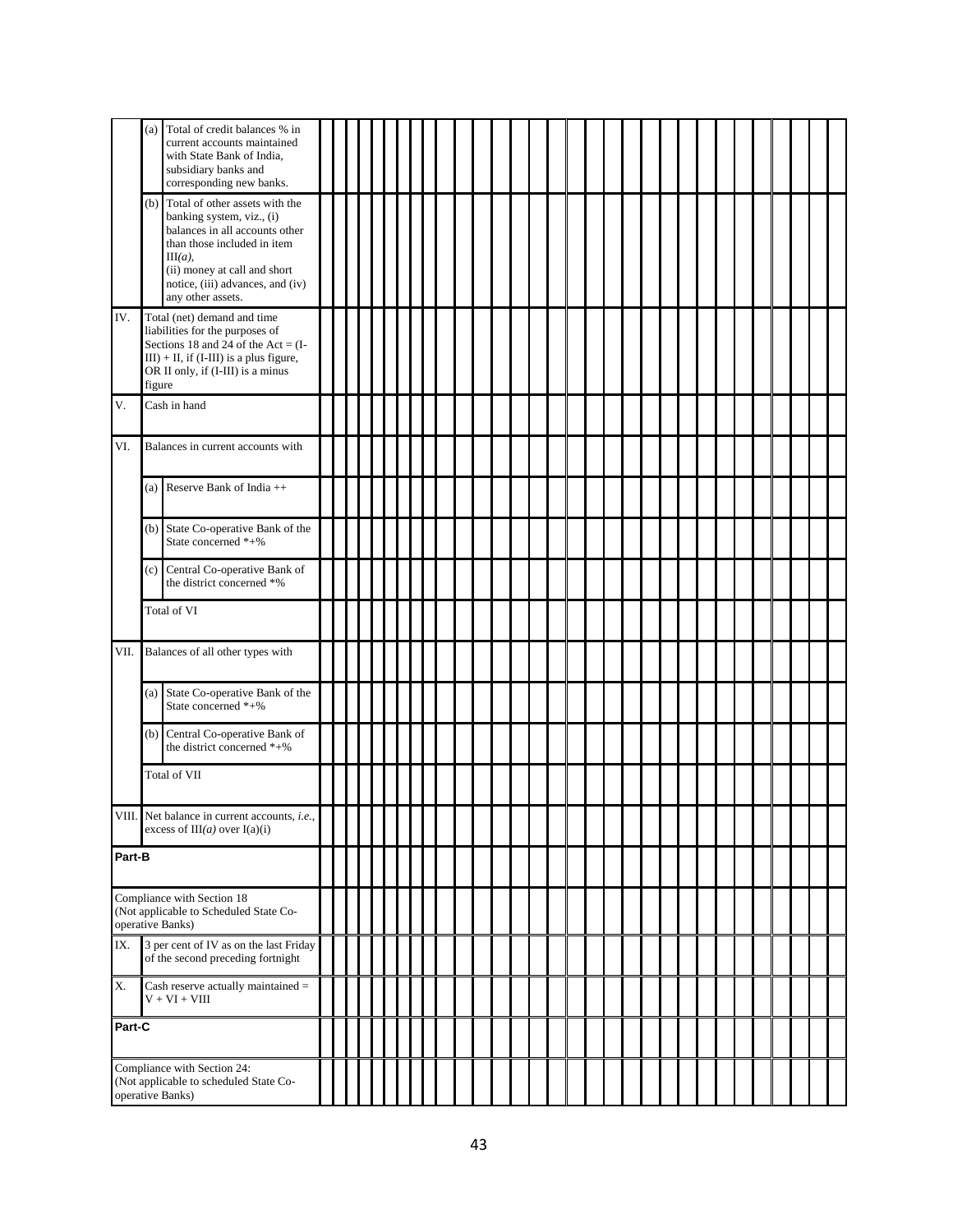|                                                                                           | Total of credit balances % in<br>(a)<br>current accounts maintained<br>with State Bank of India,<br>subsidiary banks and<br>corresponding new banks.                                                                                       |  |  |  |  |  |  |  |  |  |  |  |  |  |  |  |
|-------------------------------------------------------------------------------------------|--------------------------------------------------------------------------------------------------------------------------------------------------------------------------------------------------------------------------------------------|--|--|--|--|--|--|--|--|--|--|--|--|--|--|--|
|                                                                                           | Total of other assets with the<br>(b)<br>banking system, viz., (i)<br>balances in all accounts other<br>than those included in item<br>$III(a)$ ,<br>(ii) money at call and short<br>notice, (iii) advances, and (iv)<br>any other assets. |  |  |  |  |  |  |  |  |  |  |  |  |  |  |  |
| IV.                                                                                       | Total (net) demand and time<br>liabilities for the purposes of<br>Sections 18 and 24 of the Act = $(I -$<br>$III$ ) + II, if (I-III) is a plus figure,<br>OR II only, if (I-III) is a minus<br>figure                                      |  |  |  |  |  |  |  |  |  |  |  |  |  |  |  |
| Cash in hand<br>V.                                                                        |                                                                                                                                                                                                                                            |  |  |  |  |  |  |  |  |  |  |  |  |  |  |  |
| VI.                                                                                       | Balances in current accounts with                                                                                                                                                                                                          |  |  |  |  |  |  |  |  |  |  |  |  |  |  |  |
|                                                                                           | (a) Reserve Bank of India $++$                                                                                                                                                                                                             |  |  |  |  |  |  |  |  |  |  |  |  |  |  |  |
|                                                                                           | (b) State Co-operative Bank of the<br>State concerned $*+$ %                                                                                                                                                                               |  |  |  |  |  |  |  |  |  |  |  |  |  |  |  |
|                                                                                           | Central Co-operative Bank of<br>(c)<br>the district concerned *%                                                                                                                                                                           |  |  |  |  |  |  |  |  |  |  |  |  |  |  |  |
|                                                                                           | Total of VI                                                                                                                                                                                                                                |  |  |  |  |  |  |  |  |  |  |  |  |  |  |  |
| VII.                                                                                      | Balances of all other types with                                                                                                                                                                                                           |  |  |  |  |  |  |  |  |  |  |  |  |  |  |  |
|                                                                                           | (a) State Co-operative Bank of the<br>State concerned *+%                                                                                                                                                                                  |  |  |  |  |  |  |  |  |  |  |  |  |  |  |  |
|                                                                                           | (b) Central Co-operative Bank of<br>the district concerned *+%                                                                                                                                                                             |  |  |  |  |  |  |  |  |  |  |  |  |  |  |  |
|                                                                                           | Total of VII                                                                                                                                                                                                                               |  |  |  |  |  |  |  |  |  |  |  |  |  |  |  |
|                                                                                           | VIII. Net balance in current accounts, <i>i.e.</i> ,<br>excess of $III(a)$ over $I(a)(i)$                                                                                                                                                  |  |  |  |  |  |  |  |  |  |  |  |  |  |  |  |
|                                                                                           | Part-B                                                                                                                                                                                                                                     |  |  |  |  |  |  |  |  |  |  |  |  |  |  |  |
|                                                                                           | Compliance with Section 18<br>(Not applicable to Scheduled State Co-<br>operative Banks)                                                                                                                                                   |  |  |  |  |  |  |  |  |  |  |  |  |  |  |  |
| 3 per cent of IV as on the last Friday<br>IX.<br>of the second preceding fortnight        |                                                                                                                                                                                                                                            |  |  |  |  |  |  |  |  |  |  |  |  |  |  |  |
| X.                                                                                        | Cash reserve actually maintained =<br>$V + VI + VIII$                                                                                                                                                                                      |  |  |  |  |  |  |  |  |  |  |  |  |  |  |  |
|                                                                                           | Part-C                                                                                                                                                                                                                                     |  |  |  |  |  |  |  |  |  |  |  |  |  |  |  |
| Compliance with Section 24:<br>(Not applicable to scheduled State Co-<br>operative Banks) |                                                                                                                                                                                                                                            |  |  |  |  |  |  |  |  |  |  |  |  |  |  |  |